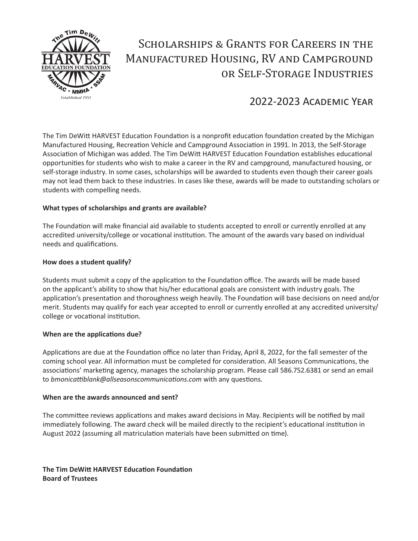

# Scholarships & Grants for Careers in the Manufactured Housing, RV and Campground or Self-Storage Industries

## 2022-2023 Academic Year

The Tim DeWitt HARVEST Education Foundation is a nonprofit education foundation created by the Michigan Manufactured Housing, Recreation Vehicle and Campground Association in 1991. In 2013, the Self-Storage Association of Michigan was added. The Tim DeWitt HARVEST Education Foundation establishes educational opportunities for students who wish to make a career in the RV and campground, manufactured housing, or self-storage industry. In some cases, scholarships will be awarded to students even though their career goals may not lead them back to these industries. In cases like these, awards will be made to outstanding scholars or students with compelling needs.

### **What types of scholarships and grants are available?**

The Foundation will make financial aid available to students accepted to enroll or currently enrolled at any accredited university/college or vocational institution. The amount of the awards vary based on individual needs and qualifications.

### **How does a student qualify?**

Students must submit a copy of the application to the Foundation office. The awards will be made based on the applicant's ability to show that his/her educational goals are consistent with industry goals. The application's presentation and thoroughness weigh heavily. The Foundation will base decisions on need and/or merit. Students may qualify for each year accepted to enroll or currently enrolled at any accredited university/ college or vocational institution.

### **When are the applications due?**

Applications are due at the Foundation office no later than Friday, April 8, 2022, for the fall semester of the coming school year. All information must be completed for consideration. All Seasons Communications, the associations' marketing agency, manages the scholarship program. Please call 586.752.6381 or send an email to *bmonicattiblank@allseasonscommunications.com* with any questions*.*

### **When are the awards announced and sent?**

The committee reviews applications and makes award decisions in May. Recipients will be notified by mail immediately following. The award check will be mailed directly to the recipient's educational institution in August 2022 (assuming all matriculation materials have been submitted on time).

**The Tim DeWitt HARVEST Education Foundation Board of Trustees**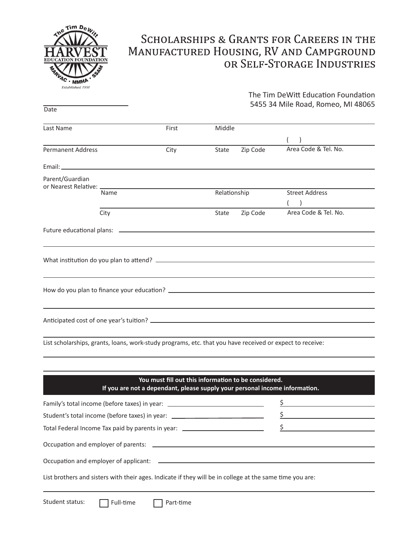

# **SCHOLARSHIPS & GRANTS FOR CAREERS IN THE** MANUFACTURED HOUSING, RV AND CAMPGROUND OR SELF-STORAGE INDUSTRIES

The Tim DeWitt Education Foundation

|                   |      |                                                                                  |              |          | 5455 34 Mile Road, Romeo, MI 48065 |  |
|-------------------|------|----------------------------------------------------------------------------------|--------------|----------|------------------------------------|--|
| Date              |      |                                                                                  |              |          |                                    |  |
| Last Name         |      | First                                                                            | Middle       |          |                                    |  |
|                   |      |                                                                                  |              |          | $($ )                              |  |
| Permanent Address |      | City                                                                             | State        | Zip Code | Area Code & Tel. No.               |  |
|                   |      |                                                                                  |              |          |                                    |  |
| Parent/Guardian   |      |                                                                                  |              |          |                                    |  |
|                   | Name |                                                                                  | Relationship |          | <b>Street Address</b>              |  |
|                   |      |                                                                                  |              |          | $($ )                              |  |
|                   | City |                                                                                  | State        | Zip Code | Area Code & Tel. No.               |  |
|                   |      |                                                                                  |              |          |                                    |  |
|                   |      | ,我们也不会有什么。""我们的人,我们也不会有什么?""我们的人,我们也不会有什么?""我们的人,我们也不会有什么?""我们的人,我们也不会有什么?""我们的人 |              |          |                                    |  |
|                   |      |                                                                                  |              |          |                                    |  |
|                   |      |                                                                                  |              |          |                                    |  |
|                   |      |                                                                                  |              |          |                                    |  |
|                   |      |                                                                                  |              |          |                                    |  |
|                   |      |                                                                                  |              |          |                                    |  |
|                   |      |                                                                                  |              |          |                                    |  |

List scholarships, grants, loans, work-study programs, etc. that you have received or expect to receive:

### **You must fill out this information to be considered. If you are not a dependant, please supply your personal income information.** \$Family's total income (before taxes) in year: \_\_\_\_\_\_\_\_\_\_\_\_\_\_\_\_\_\_\_\_\_\_\_\_\_\_\_\_\_\_\_\_\_\_  $\frac{1}{2}$ Student's total income (before taxes) in year: \_\_\_\_\_\_\_\_\_\_\_\_\_\_\_\_\_\_\_\_\_\_\_\_\_\_\_\_\_\_\_\_\_  $\frac{\xi}{\sqrt{2}}$ Total Federal Income Tax paid by parents in year: <u> 1989 - Johann Barbara, martxa alemaniar a</u> Occupation and employer of parents: Occupation and employer of applicant: List brothers and sisters with their ages. Indicate if they will be in college at the same time you are:

Student status:

 $\Box$  Full-time  $\Box$  Part-time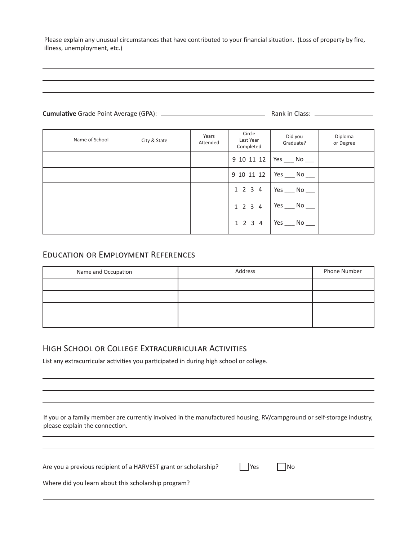Please explain any unusual circumstances that have contributed to your financial situation. (Loss of property by fire, illness, unemployment, etc.)

### **Cumulative** Grade Point Average (GPA): Rank in Class:

Diploma or Degree Years Attended Circle Last Year Completed Name of School City & State 9 10 11 12 9 10 11 12 1 2 3 4 1 2 3 4 Did you Graduate?  $Yes$  No  $\Box$  $Yes$  No  $\_\_$  $Yes$  No \_\_\_\_\_ Yes \_\_\_\_ No \_\_\_ 1 2 3 4 Yes \_\_\_\_ No \_\_\_

### Education or Employment References

| Name and Occupation | Address | Phone Number |  |
|---------------------|---------|--------------|--|
|                     |         |              |  |
|                     |         |              |  |
|                     |         |              |  |
|                     |         |              |  |

### High School or College Extracurricular Activities

List any extracurricular activities you participated in during high school or college.

If you or a family member are currently involved in the manufactured housing, RV/campground or self-storage industry, please explain the connection.

| Are you a previous recipient of a HARVEST grant or scholarship? | <b>Yes</b> |  | $\overline{\phantom{a}}$ No |
|-----------------------------------------------------------------|------------|--|-----------------------------|
|-----------------------------------------------------------------|------------|--|-----------------------------|

Where did you learn about this scholarship program?